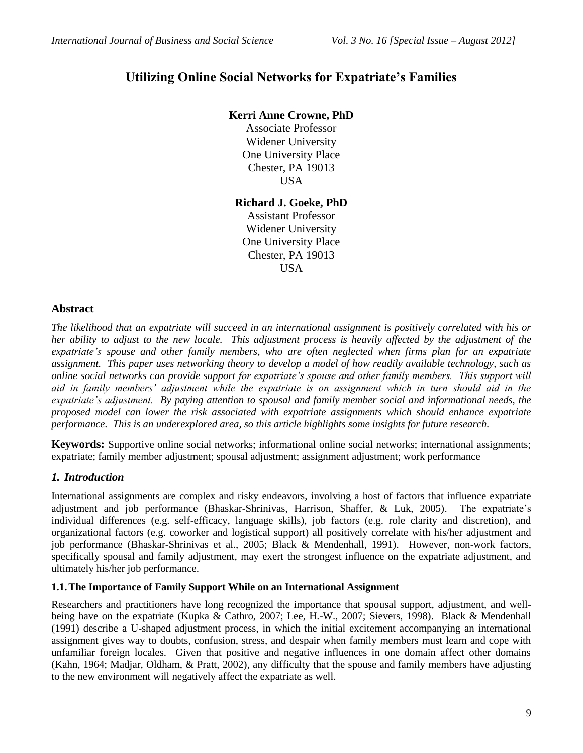# **Utilizing Online Social Networks for Expatriate's Families**

# **Kerri Anne Crowne, PhD**

Associate Professor Widener University One University Place Chester, PA 19013 USA

**Richard J. Goeke, PhD** Assistant Professor

Widener University One University Place Chester, PA 19013 USA

### **Abstract**

*The likelihood that an expatriate will succeed in an international assignment is positively correlated with his or her ability to adjust to the new locale. This adjustment process is heavily affected by the adjustment of the expatriate's spouse and other family members, who are often neglected when firms plan for an expatriate assignment. This paper uses networking theory to develop a model of how readily available technology, such as online social networks can provide support for expatriate's spouse and other family members. This support will aid in family members' adjustment while the expatriate is on assignment which in turn should aid in the expatriate's adjustment. By paying attention to spousal and family member social and informational needs, the proposed model can lower the risk associated with expatriate assignments which should enhance expatriate performance. This is an underexplored area, so this article highlights some insights for future research.*

**Keywords:** Supportive online social networks; informational online social networks; international assignments; expatriate; family member adjustment; spousal adjustment; assignment adjustment; work performance

### *1. Introduction*

International assignments are complex and risky endeavors, involving a host of factors that influence expatriate adjustment and job performance (Bhaskar-Shrinivas, Harrison, Shaffer, & Luk, 2005). The expatriate's individual differences (e.g. self-efficacy, language skills), job factors (e.g. role clarity and discretion), and organizational factors (e.g. coworker and logistical support) all positively correlate with his/her adjustment and job performance (Bhaskar-Shrinivas et al., 2005; Black & Mendenhall, 1991). However, non-work factors, specifically spousal and family adjustment, may exert the strongest influence on the expatriate adjustment, and ultimately his/her job performance.

#### **1.1.The Importance of Family Support While on an International Assignment**

Researchers and practitioners have long recognized the importance that spousal support, adjustment, and wellbeing have on the expatriate (Kupka & Cathro, 2007; Lee, H.-W., 2007; Sievers, 1998). Black & Mendenhall (1991) describe a U-shaped adjustment process, in which the initial excitement accompanying an international assignment gives way to doubts, confusion, stress, and despair when family members must learn and cope with unfamiliar foreign locales. Given that positive and negative influences in one domain affect other domains (Kahn, 1964; Madjar, Oldham, & Pratt, 2002), any difficulty that the spouse and family members have adjusting to the new environment will negatively affect the expatriate as well.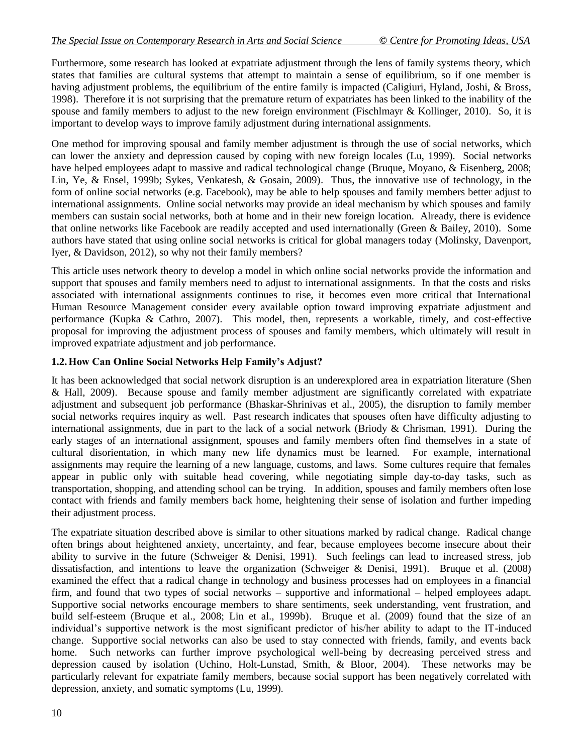Furthermore, some research has looked at expatriate adjustment through the lens of family systems theory, which states that families are cultural systems that attempt to maintain a sense of equilibrium, so if one member is having adjustment problems, the equilibrium of the entire family is impacted (Caligiuri, Hyland, Joshi, & Bross, 1998). Therefore it is not surprising that the premature return of expatriates has been linked to the inability of the spouse and family members to adjust to the new foreign environment (Fischlmayr & Kollinger, 2010). So, it is important to develop ways to improve family adjustment during international assignments.

One method for improving spousal and family member adjustment is through the use of social networks, which can lower the anxiety and depression caused by coping with new foreign locales (Lu, 1999). Social networks have helped employees adapt to massive and radical technological change (Bruque, Moyano, & Eisenberg, 2008; Lin, Ye, & Ensel, 1999b; Sykes, Venkatesh, & Gosain, 2009). Thus, the innovative use of technology, in the form of online social networks (e.g. Facebook), may be able to help spouses and family members better adjust to international assignments. Online social networks may provide an ideal mechanism by which spouses and family members can sustain social networks, both at home and in their new foreign location. Already, there is evidence that online networks like Facebook are readily accepted and used internationally (Green & Bailey, 2010). Some authors have stated that using online social networks is critical for global managers today (Molinsky, Davenport, Iyer, & Davidson, 2012), so why not their family members?

This article uses network theory to develop a model in which online social networks provide the information and support that spouses and family members need to adjust to international assignments. In that the costs and risks associated with international assignments continues to rise, it becomes even more critical that International Human Resource Management consider every available option toward improving expatriate adjustment and performance (Kupka & Cathro, 2007). This model, then, represents a workable, timely, and cost-effective proposal for improving the adjustment process of spouses and family members, which ultimately will result in improved expatriate adjustment and job performance.

### **1.2.How Can Online Social Networks Help Family's Adjust?**

It has been acknowledged that social network disruption is an underexplored area in expatriation literature (Shen & Hall, 2009). Because spouse and family member adjustment are significantly correlated with expatriate adjustment and subsequent job performance (Bhaskar-Shrinivas et al., 2005), the disruption to family member social networks requires inquiry as well. Past research indicates that spouses often have difficulty adjusting to international assignments, due in part to the lack of a social network (Briody & Chrisman, 1991). During the early stages of an international assignment, spouses and family members often find themselves in a state of cultural disorientation, in which many new life dynamics must be learned. For example, international assignments may require the learning of a new language, customs, and laws. Some cultures require that females appear in public only with suitable head covering, while negotiating simple day-to-day tasks, such as transportation, shopping, and attending school can be trying. In addition, spouses and family members often lose contact with friends and family members back home, heightening their sense of isolation and further impeding their adjustment process.

The expatriate situation described above is similar to other situations marked by radical change. Radical change often brings about heightened anxiety, uncertainty, and fear, because employees become insecure about their ability to survive in the future (Schweiger & Denisi, 1991). Such feelings can lead to increased stress, job dissatisfaction, and intentions to leave the organization (Schweiger & Denisi, 1991). Bruque et al. (2008) examined the effect that a radical change in technology and business processes had on employees in a financial firm, and found that two types of social networks – supportive and informational – helped employees adapt. Supportive social networks encourage members to share sentiments, seek understanding, vent frustration, and build self-esteem (Bruque et al., 2008; Lin et al., 1999b). Bruque et al. (2009) found that the size of an individual's supportive network is the most significant predictor of his/her ability to adapt to the IT-induced change. Supportive social networks can also be used to stay connected with friends, family, and events back home. Such networks can further improve psychological well-being by decreasing perceived stress and depression caused by isolation (Uchino, Holt-Lunstad, Smith, & Bloor, 2004). These networks may be particularly relevant for expatriate family members, because social support has been negatively correlated with depression, anxiety, and somatic symptoms (Lu, 1999).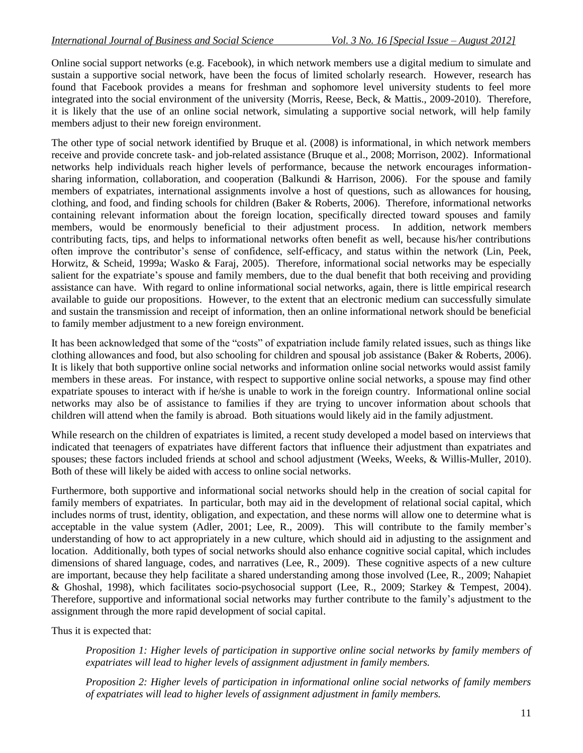Online social support networks (e.g. Facebook), in which network members use a digital medium to simulate and sustain a supportive social network, have been the focus of limited scholarly research. However, research has found that Facebook provides a means for freshman and sophomore level university students to feel more integrated into the social environment of the university (Morris, Reese, Beck, & Mattis., 2009-2010). Therefore, it is likely that the use of an online social network, simulating a supportive social network, will help family members adjust to their new foreign environment.

The other type of social network identified by Bruque et al. (2008) is informational, in which network members receive and provide concrete task- and job-related assistance (Bruque et al., 2008; Morrison, 2002). Informational networks help individuals reach higher levels of performance, because the network encourages informationsharing information, collaboration, and cooperation (Balkundi & Harrison, 2006). For the spouse and family members of expatriates, international assignments involve a host of questions, such as allowances for housing, clothing, and food, and finding schools for children (Baker & Roberts, 2006). Therefore, informational networks containing relevant information about the foreign location, specifically directed toward spouses and family members, would be enormously beneficial to their adjustment process. In addition, network members contributing facts, tips, and helps to informational networks often benefit as well, because his/her contributions often improve the contributor's sense of confidence, self-efficacy, and status within the network (Lin, Peek, Horwitz, & Scheid, 1999a; Wasko & Faraj, 2005). Therefore, informational social networks may be especially salient for the expatriate's spouse and family members, due to the dual benefit that both receiving and providing assistance can have. With regard to online informational social networks, again, there is little empirical research available to guide our propositions. However, to the extent that an electronic medium can successfully simulate and sustain the transmission and receipt of information, then an online informational network should be beneficial to family member adjustment to a new foreign environment.

It has been acknowledged that some of the "costs" of expatriation include family related issues, such as things like clothing allowances and food, but also schooling for children and spousal job assistance (Baker & Roberts, 2006). It is likely that both supportive online social networks and information online social networks would assist family members in these areas. For instance, with respect to supportive online social networks, a spouse may find other expatriate spouses to interact with if he/she is unable to work in the foreign country. Informational online social networks may also be of assistance to families if they are trying to uncover information about schools that children will attend when the family is abroad. Both situations would likely aid in the family adjustment.

While research on the children of expatriates is limited, a recent study developed a model based on interviews that indicated that teenagers of expatriates have different factors that influence their adjustment than expatriates and spouses; these factors included friends at school and school adjustment (Weeks, Weeks, & Willis-Muller, 2010). Both of these will likely be aided with access to online social networks.

Furthermore, both supportive and informational social networks should help in the creation of social capital for family members of expatriates. In particular, both may aid in the development of relational social capital, which includes norms of trust, identity, obligation, and expectation, and these norms will allow one to determine what is acceptable in the value system (Adler, 2001; Lee, R., 2009). This will contribute to the family member's understanding of how to act appropriately in a new culture, which should aid in adjusting to the assignment and location. Additionally, both types of social networks should also enhance cognitive social capital, which includes dimensions of shared language, codes, and narratives (Lee, R., 2009). These cognitive aspects of a new culture are important, because they help facilitate a shared understanding among those involved (Lee, R., 2009; Nahapiet & Ghoshal, 1998), which facilitates socio-psychosocial support (Lee, R., 2009; Starkey & Tempest, 2004). Therefore, supportive and informational social networks may further contribute to the family's adjustment to the assignment through the more rapid development of social capital.

Thus it is expected that:

*Proposition 1: Higher levels of participation in supportive online social networks by family members of expatriates will lead to higher levels of assignment adjustment in family members.*

*Proposition 2: Higher levels of participation in informational online social networks of family members of expatriates will lead to higher levels of assignment adjustment in family members.*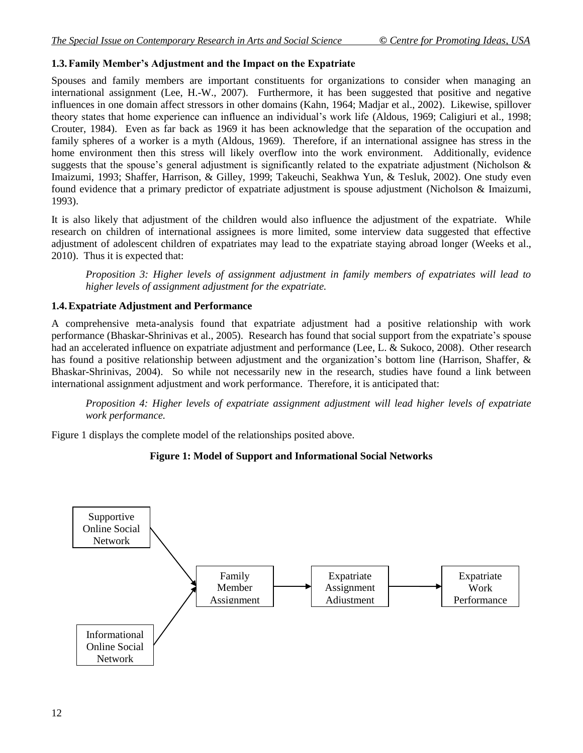# **1.3.Family Member's Adjustment and the Impact on the Expatriate**

Spouses and family members are important constituents for organizations to consider when managing an international assignment (Lee, H.-W., 2007). Furthermore, it has been suggested that positive and negative influences in one domain affect stressors in other domains (Kahn, 1964; Madjar et al., 2002). Likewise, spillover theory states that home experience can influence an individual's work life (Aldous, 1969; Caligiuri et al., 1998; Crouter, 1984). Even as far back as 1969 it has been acknowledge that the separation of the occupation and family spheres of a worker is a myth (Aldous, 1969). Therefore, if an international assignee has stress in the home environment then this stress will likely overflow into the work environment. Additionally, evidence suggests that the spouse's general adjustment is significantly related to the expatriate adjustment (Nicholson  $\&$ Imaizumi, 1993; Shaffer, Harrison, & Gilley, 1999; Takeuchi, Seakhwa Yun, & Tesluk, 2002). One study even found evidence that a primary predictor of expatriate adjustment is spouse adjustment (Nicholson & Imaizumi, 1993).

It is also likely that adjustment of the children would also influence the adjustment of the expatriate. While research on children of international assignees is more limited, some interview data suggested that effective adjustment of adolescent children of expatriates may lead to the expatriate staying abroad longer (Weeks et al., 2010). Thus it is expected that:

*Proposition 3: Higher levels of assignment adjustment in family members of expatriates will lead to higher levels of assignment adjustment for the expatriate.*

### **1.4.Expatriate Adjustment and Performance**

A comprehensive meta-analysis found that expatriate adjustment had a positive relationship with work performance (Bhaskar-Shrinivas et al., 2005). Research has found that social support from the expatriate's spouse had an accelerated influence on expatriate adjustment and performance (Lee, L. & Sukoco, 2008). Other research has found a positive relationship between adjustment and the organization's bottom line (Harrison, Shaffer, & Bhaskar-Shrinivas, 2004). So while not necessarily new in the research, studies have found a link between international assignment adjustment and work performance. Therefore, it is anticipated that:

*Proposition 4: Higher levels of expatriate assignment adjustment will lead higher levels of expatriate work performance.* 

Figure 1 displays the complete model of the relationships posited above.

### **Figure 1: Model of Support and Informational Social Networks**

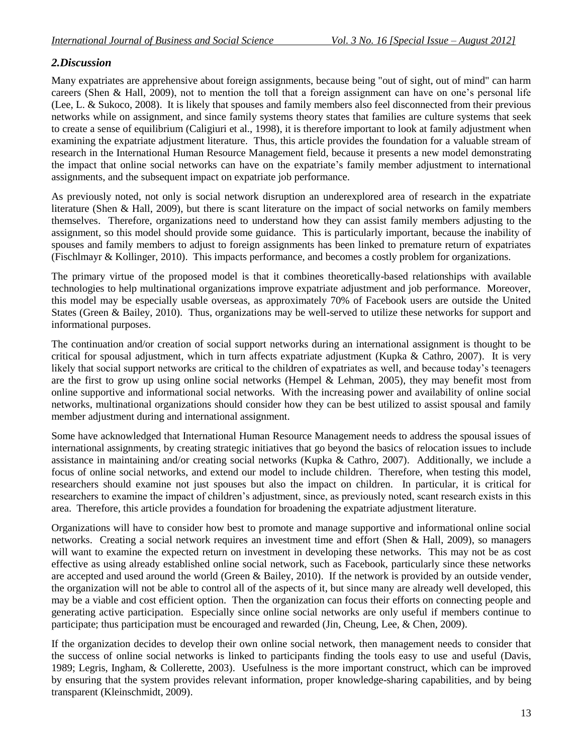## *2.Discussion*

Many expatriates are apprehensive about foreign assignments, because being "out of sight, out of mind" can harm careers (Shen & Hall, 2009), not to mention the toll that a foreign assignment can have on one's personal life (Lee, L. & Sukoco, 2008). It is likely that spouses and family members also feel disconnected from their previous networks while on assignment, and since family systems theory states that families are culture systems that seek to create a sense of equilibrium (Caligiuri et al., 1998), it is therefore important to look at family adjustment when examining the expatriate adjustment literature. Thus, this article provides the foundation for a valuable stream of research in the International Human Resource Management field, because it presents a new model demonstrating the impact that online social networks can have on the expatriate's family member adjustment to international assignments, and the subsequent impact on expatriate job performance.

As previously noted, not only is social network disruption an underexplored area of research in the expatriate literature (Shen & Hall, 2009), but there is scant literature on the impact of social networks on family members themselves. Therefore, organizations need to understand how they can assist family members adjusting to the assignment, so this model should provide some guidance. This is particularly important, because the inability of spouses and family members to adjust to foreign assignments has been linked to premature return of expatriates (Fischlmayr & Kollinger, 2010). This impacts performance, and becomes a costly problem for organizations.

The primary virtue of the proposed model is that it combines theoretically-based relationships with available technologies to help multinational organizations improve expatriate adjustment and job performance. Moreover, this model may be especially usable overseas, as approximately 70% of Facebook users are outside the United States (Green & Bailey, 2010). Thus, organizations may be well-served to utilize these networks for support and informational purposes.

The continuation and/or creation of social support networks during an international assignment is thought to be critical for spousal adjustment, which in turn affects expatriate adjustment (Kupka & Cathro, 2007). It is very likely that social support networks are critical to the children of expatriates as well, and because today's teenagers are the first to grow up using online social networks (Hempel & Lehman, 2005), they may benefit most from online supportive and informational social networks. With the increasing power and availability of online social networks, multinational organizations should consider how they can be best utilized to assist spousal and family member adjustment during and international assignment.

Some have acknowledged that International Human Resource Management needs to address the spousal issues of international assignments, by creating strategic initiatives that go beyond the basics of relocation issues to include assistance in maintaining and/or creating social networks (Kupka & Cathro, 2007). Additionally, we include a focus of online social networks, and extend our model to include children. Therefore, when testing this model, researchers should examine not just spouses but also the impact on children. In particular, it is critical for researchers to examine the impact of children's adjustment, since, as previously noted, scant research exists in this area. Therefore, this article provides a foundation for broadening the expatriate adjustment literature.

Organizations will have to consider how best to promote and manage supportive and informational online social networks. Creating a social network requires an investment time and effort (Shen & Hall, 2009), so managers will want to examine the expected return on investment in developing these networks. This may not be as cost effective as using already established online social network, such as Facebook, particularly since these networks are accepted and used around the world (Green & Bailey, 2010). If the network is provided by an outside vender, the organization will not be able to control all of the aspects of it, but since many are already well developed, this may be a viable and cost efficient option. Then the organization can focus their efforts on connecting people and generating active participation. Especially since online social networks are only useful if members continue to participate; thus participation must be encouraged and rewarded (Jin, Cheung, Lee, & Chen, 2009).

If the organization decides to develop their own online social network, then management needs to consider that the success of online social networks is linked to participants finding the tools easy to use and useful (Davis, 1989; Legris, Ingham, & Collerette, 2003). Usefulness is the more important construct, which can be improved by ensuring that the system provides relevant information, proper knowledge-sharing capabilities, and by being transparent (Kleinschmidt, 2009).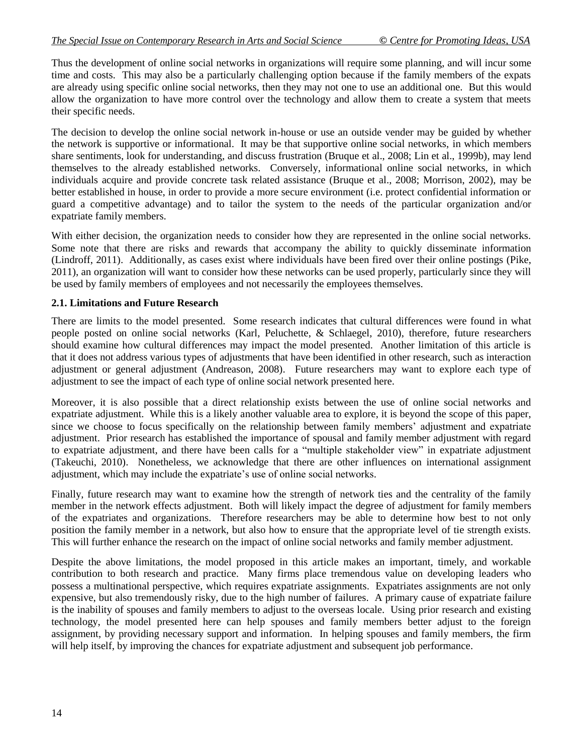Thus the development of online social networks in organizations will require some planning, and will incur some time and costs. This may also be a particularly challenging option because if the family members of the expats are already using specific online social networks, then they may not one to use an additional one. But this would allow the organization to have more control over the technology and allow them to create a system that meets their specific needs.

The decision to develop the online social network in-house or use an outside vender may be guided by whether the network is supportive or informational. It may be that supportive online social networks, in which members share sentiments, look for understanding, and discuss frustration (Bruque et al., 2008; Lin et al., 1999b), may lend themselves to the already established networks. Conversely, informational online social networks, in which individuals acquire and provide concrete task related assistance (Bruque et al., 2008; Morrison, 2002), may be better established in house, in order to provide a more secure environment (i.e. protect confidential information or guard a competitive advantage) and to tailor the system to the needs of the particular organization and/or expatriate family members.

With either decision, the organization needs to consider how they are represented in the online social networks. Some note that there are risks and rewards that accompany the ability to quickly disseminate information (Lindroff, 2011). Additionally, as cases exist where individuals have been fired over their online postings (Pike, 2011), an organization will want to consider how these networks can be used properly, particularly since they will be used by family members of employees and not necessarily the employees themselves.

### **2.1. Limitations and Future Research**

There are limits to the model presented. Some research indicates that cultural differences were found in what people posted on online social networks (Karl, Peluchette, & Schlaegel, 2010), therefore, future researchers should examine how cultural differences may impact the model presented. Another limitation of this article is that it does not address various types of adjustments that have been identified in other research, such as interaction adjustment or general adjustment (Andreason, 2008). Future researchers may want to explore each type of adjustment to see the impact of each type of online social network presented here.

Moreover, it is also possible that a direct relationship exists between the use of online social networks and expatriate adjustment. While this is a likely another valuable area to explore, it is beyond the scope of this paper, since we choose to focus specifically on the relationship between family members' adjustment and expatriate adjustment. Prior research has established the importance of spousal and family member adjustment with regard to expatriate adjustment, and there have been calls for a "multiple stakeholder view" in expatriate adjustment (Takeuchi, 2010). Nonetheless, we acknowledge that there are other influences on international assignment adjustment, which may include the expatriate's use of online social networks.

Finally, future research may want to examine how the strength of network ties and the centrality of the family member in the network effects adjustment. Both will likely impact the degree of adjustment for family members of the expatriates and organizations. Therefore researchers may be able to determine how best to not only position the family member in a network, but also how to ensure that the appropriate level of tie strength exists. This will further enhance the research on the impact of online social networks and family member adjustment.

Despite the above limitations, the model proposed in this article makes an important, timely, and workable contribution to both research and practice. Many firms place tremendous value on developing leaders who possess a multinational perspective, which requires expatriate assignments. Expatriates assignments are not only expensive, but also tremendously risky, due to the high number of failures. A primary cause of expatriate failure is the inability of spouses and family members to adjust to the overseas locale. Using prior research and existing technology, the model presented here can help spouses and family members better adjust to the foreign assignment, by providing necessary support and information. In helping spouses and family members, the firm will help itself, by improving the chances for expatriate adjustment and subsequent job performance.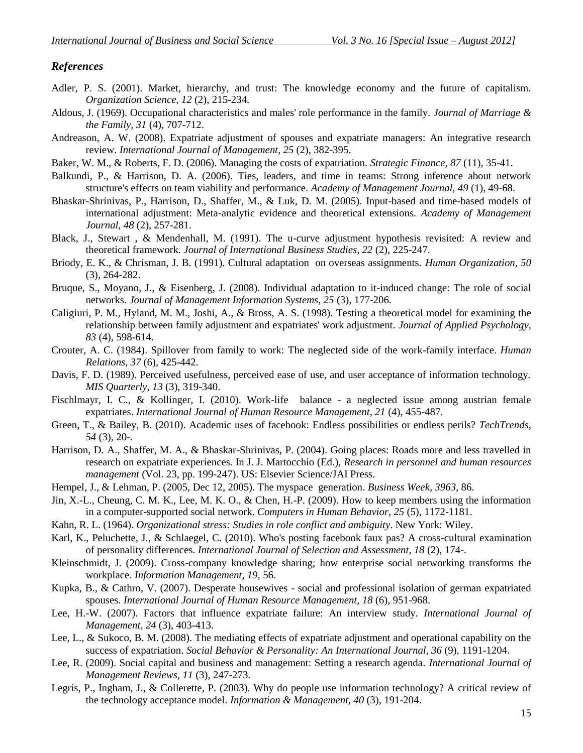#### *References*

- Adler, P. S. (2001). Market, hierarchy, and trust: The knowledge economy and the future of capitalism. *Organization Science, 12* (2), 215-234.
- Aldous, J. (1969). Occupational characteristics and males' role performance in the family. *Journal of Marriage & the Family, 31* (4), 707-712.
- Andreason, A. W. (2008). Expatriate adjustment of spouses and expatriate managers: An integrative research review. *International Journal of Management, 25* (2), 382-395.
- Baker, W. M., & Roberts, F. D. (2006). Managing the costs of expatriation. *Strategic Finance, 87* (11), 35-41.
- Balkundi, P., & Harrison, D. A. (2006). Ties, leaders, and time in teams: Strong inference about network structure's effects on team viability and performance. *Academy of Management Journal, 49* (1), 49-68.
- Bhaskar-Shrinivas, P., Harrison, D., Shaffer, M., & Luk, D. M. (2005). Input-based and time-based models of international adjustment: Meta-analytic evidence and theoretical extensions. *Academy of Management Journal, 48* (2), 257-281.
- Black, J., Stewart , & Mendenhall, M. (1991). The u-curve adjustment hypothesis revisited: A review and theoretical framework. *Journal of International Business Studies, 22* (2), 225-247.
- Briody, E. K., & Chrisman, J. B. (1991). Cultural adaptation on overseas assignments. *Human Organization, 50* (3), 264-282.
- Bruque, S., Moyano, J., & Eisenberg, J. (2008). Individual adaptation to it-induced change: The role of social networks. *Journal of Management Information Systems, 25* (3), 177-206.
- Caligiuri, P. M., Hyland, M. M., Joshi, A., & Bross, A. S. (1998). Testing a theoretical model for examining the relationship between family adjustment and expatriates' work adjustment. *Journal of Applied Psychology, 83* (4), 598-614.
- Crouter, A. C. (1984). Spillover from family to work: The neglected side of the work-family interface. *Human Relations, 37* (6), 425-442.
- Davis, F. D. (1989). Perceived usefulness, perceived ease of use, and user acceptance of information technology. *MIS Quarterly, 13* (3), 319-340.
- Fischlmayr, I. C., & Kollinger, I. (2010). Work-life balance a neglected issue among austrian female expatriates. *International Journal of Human Resource Management, 21* (4), 455-487.
- Green, T., & Bailey, B. (2010). Academic uses of facebook: Endless possibilities or endless perils? *TechTrends, 54* (3), 20-.
- Harrison, D. A., Shaffer, M. A., & Bhaskar-Shrinivas, P. (2004). Going places: Roads more and less travelled in research on expatriate experiences. In J. J. Martocchio (Ed.), *Research in personnel and human resources management* (Vol. 23, pp. 199-247). US: Elsevier Science/JAI Press.
- Hempel, J., & Lehman, P. (2005, Dec 12, 2005). The myspace generation. *Business Week, 3963,* 86.
- Jin, X.-L., Cheung, C. M. K., Lee, M. K. O., & Chen, H.-P. (2009). How to keep members using the information in a computer-supported social network. *Computers in Human Behavior, 25* (5), 1172-1181.
- Kahn, R. L. (1964). *Organizational stress: Studies in role conflict and ambiguity*. New York: Wiley.
- Karl, K., Peluchette, J., & Schlaegel, C. (2010). Who's posting facebook faux pas? A cross-cultural examination of personality differences. *International Journal of Selection and Assessment, 18* (2), 174-.
- Kleinschmidt, J. (2009). Cross-company knowledge sharing; how enterprise social networking transforms the workplace. *Information Management, 19,* 56.
- Kupka, B., & Cathro, V. (2007). Desperate housewives social and professional isolation of german expatriated spouses. *International Journal of Human Resource Management, 18* (6), 951-968.
- Lee, H.-W. (2007). Factors that influence expatriate failure: An interview study. *International Journal of Management, 24* (3), 403-413.
- Lee, L., & Sukoco, B. M. (2008). The mediating effects of expatriate adjustment and operational capability on the success of expatriation. *Social Behavior & Personality: An International Journal, 36* (9), 1191-1204.
- Lee, R. (2009). Social capital and business and management: Setting a research agenda. *International Journal of Management Reviews, 11* (3), 247-273.
- Legris, P., Ingham, J., & Collerette, P. (2003). Why do people use information technology? A critical review of the technology acceptance model. *Information & Management, 40* (3), 191-204.